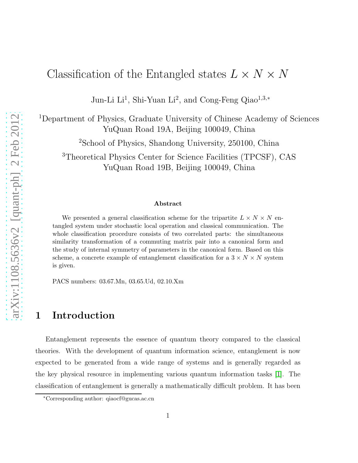# Classification of the Entangled states  $L \times N \times N$

Jun-Li Li<sup>1</sup>, Shi-Yuan Li<sup>2</sup>, and Cong-Feng Qiao<sup>1,3,\*</sup>

<sup>1</sup>Department of Physics, Graduate University of Chinese Academy of Sciences YuQuan Road 19A, Beijing 100049, China

<sup>2</sup>School of Physics, Shandong University, 250100, China

<sup>3</sup>Theoretical Physics Center for Science Facilities (TPCSF), CAS YuQuan Road 19B, Beijing 100049, China

#### Abstract

We presented a general classification scheme for the tripartite  $L \times N \times N$  entangled system under stochastic local operation and classical communication. The whole classification procedure consists of two correlated parts: the simultaneous similarity transformation of a commuting matrix pair into a canonical form and the study of internal symmetry of parameters in the canonical form. Based on this scheme, a concrete example of entanglement classification for a  $3 \times N \times N$  system is given.

PACS numbers: 03.67.Mn, 03.65.Ud, 02.10.Xm

### 1 Introduction

Entanglement represents the essence of quantum theory compared to the classical theories. With the development of quantum information science, entanglement is now expected to be generated from a wide range of systems and is generally regarded as the key physical resource in implementing various quantum information tasks [\[1\]](#page-20-0). The classification of entanglement is generally a mathematically difficult problem. It has been

<sup>∗</sup>Corresponding author: qiaocf@gucas.ac.cn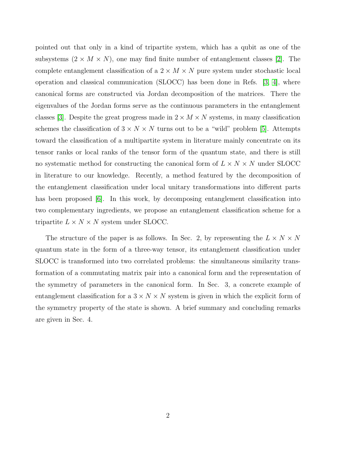pointed out that only in a kind of tripartite system, which has a qubit as one of the subsystems  $(2 \times M \times N)$ , one may find finite number of entanglement classes [\[2\]](#page-20-1). The complete entanglement classification of a  $2 \times M \times N$  pure system under stochastic local operation and classical communication (SLOCC) has been done in Refs. [\[3,](#page-20-2) [4\]](#page-20-3), where canonical forms are constructed via Jordan decomposition of the matrices. There the eigenvalues of the Jordan forms serve as the continuous parameters in the entanglement classes [\[3\]](#page-20-2). Despite the great progress made in  $2 \times M \times N$  systems, in many classification schemes the classification of  $3 \times N \times N$  turns out to be a "wild" problem [\[5\]](#page-20-4). Attempts toward the classification of a multipartite system in literature mainly concentrate on its tensor ranks or local ranks of the tensor form of the quantum state, and there is still no systematic method for constructing the canonical form of  $L \times N \times N$  under SLOCC in literature to our knowledge. Recently, a method featured by the decomposition of the entanglement classification under local unitary transformations into different parts has been proposed [\[6\]](#page-20-5). In this work, by decomposing entanglement classification into two complementary ingredients, we propose an entanglement classification scheme for a tripartite  $L \times N \times N$  system under SLOCC.

The structure of the paper is as follows. In Sec. 2, by representing the  $L \times N \times N$ quantum state in the form of a three-way tensor, its entanglement classification under SLOCC is transformed into two correlated problems: the simultaneous similarity transformation of a commutating matrix pair into a canonical form and the representation of the symmetry of parameters in the canonical form. In Sec. 3, a concrete example of entanglement classification for a  $3 \times N \times N$  system is given in which the explicit form of the symmetry property of the state is shown. A brief summary and concluding remarks are given in Sec. 4.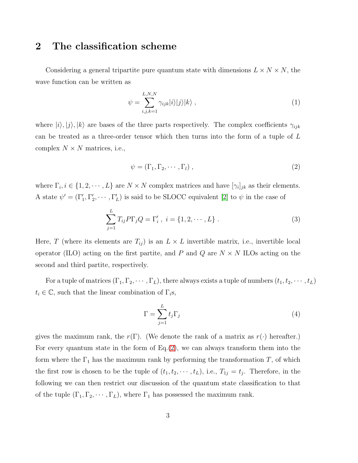## 2 The classification scheme

Considering a general tripartite pure quantum state with dimensions  $L \times N \times N$ , the wave function can be written as

$$
\psi = \sum_{i,j,k=1}^{L,N,N} \gamma_{ijk} |i\rangle |j\rangle |k\rangle , \qquad (1)
$$

where  $|i\rangle, |j\rangle, |k\rangle$  are bases of the three parts respectively. The complex coefficients  $\gamma_{ijk}$ can be treated as a three-order tensor which then turns into the form of a tuple of L complex  $N \times N$  matrices, i.e.,

<span id="page-2-0"></span>
$$
\psi = (\Gamma_1, \Gamma_2, \cdots, \Gamma_l) \tag{2}
$$

where  $\Gamma_i, i \in \{1, 2, \dots, L\}$  are  $N \times N$  complex matrices and have  $[\gamma_i]_{jk}$  as their elements. A state  $\psi' = (\Gamma'_1, \Gamma'_2)$  $'_{2},\cdots,\Gamma'_{l}$  $L'$ ) is said to be SLOCC equivalent [\[2\]](#page-20-1) to  $\psi$  in the case of

<span id="page-2-1"></span>
$$
\sum_{j=1}^{L} T_{ij} P \Gamma_j Q = \Gamma'_i , \ i = \{1, 2, \cdots, L\} .
$$
 (3)

Here, T (where its elements are  $T_{ij}$ ) is an  $L \times L$  invertible matrix, i.e., invertible local operator (ILO) acting on the first partite, and P and Q are  $N \times N$  ILOs acting on the second and third partite, respectively.

For a tuple of matrices  $(\Gamma_1, \Gamma_2, \cdots, \Gamma_L)$ , there always exists a tuple of numbers  $(t_1, t_2, \cdots, t_L)$  $t_i \in \mathbb{C}$ , such that the linear combination of  $\Gamma_i$ s,

$$
\Gamma = \sum_{j=1}^{L} t_j \Gamma_j \tag{4}
$$

gives the maximum rank, the  $r(\Gamma)$ . (We denote the rank of a matrix as  $r(\cdot)$  hereafter.) For every quantum state in the form of  $Eq.(2)$  $Eq.(2)$ , we can always transform them into the form where the  $\Gamma_1$  has the maximum rank by performing the transformation T, of which the first row is chosen to be the tuple of  $(t_1, t_2, \dots, t_L)$ , i.e.,  $T_{1j} = t_j$ . Therefore, in the following we can then restrict our discussion of the quantum state classification to that of the tuple  $(\Gamma_1, \Gamma_2, \cdots, \Gamma_L)$ , where  $\Gamma_1$  has possessed the maximum rank.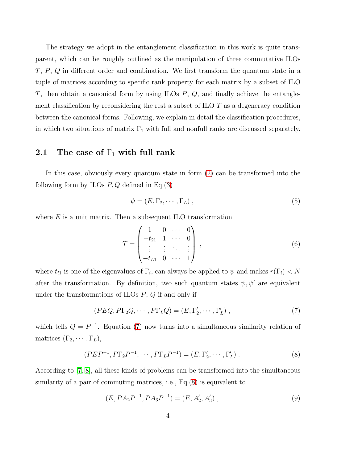The strategy we adopt in the entanglement classification in this work is quite transparent, which can be roughly outlined as the manipulation of three commutative ILOs T, P, Q in different order and combination. We first transform the quantum state in a tuple of matrices according to specific rank property for each matrix by a subset of ILO T, then obtain a canonical form by using ILOs  $P$ ,  $Q$ , and finally achieve the entanglement classification by reconsidering the rest a subset of ILO T as a degeneracy condition between the canonical forms. Following, we explain in detail the classification procedures, in which two situations of matrix  $\Gamma_1$  with full and nonfull ranks are discussed separately.

### <span id="page-3-3"></span>2.1 The case of  $\Gamma_1$  with full rank

In this case, obviously every quantum state in form [\(2\)](#page-2-0) can be transformed into the following form by ILOs  $P, Q$  defined in Eq.[\(3\)](#page-2-1)

$$
\psi = (E, \Gamma_2, \cdots, \Gamma_L), \qquad (5)
$$

where  $E$  is a unit matrix. Then a subsequent ILO transformation

$$
T = \begin{pmatrix} 1 & 0 & \cdots & 0 \\ -t_{21} & 1 & \cdots & 0 \\ \vdots & \vdots & \ddots & \vdots \\ -t_{L1} & 0 & \cdots & 1 \end{pmatrix}, \qquad (6)
$$

where  $t_{i1}$  is one of the eigenvalues of  $\Gamma_i$ , can always be applied to  $\psi$  and makes  $r(\Gamma_i) < N$ after the transformation. By definition, two such quantum states  $\psi, \psi'$  are equivalent under the transformations of ILOs  $P$ ,  $Q$  if and only if

<span id="page-3-0"></span>
$$
(PEQ, P\Gamma_2Q, \cdots, P\Gamma_LQ) = (E, \Gamma'_2, \cdots, \Gamma'_L), \qquad (7)
$$

which tells  $Q = P^{-1}$ . Equation [\(7\)](#page-3-0) now turns into a simultaneous similarity relation of matrices  $(\Gamma_2, \cdots, \Gamma_L),$ 

<span id="page-3-1"></span>
$$
(PEP^{-1}, P\Gamma_2 P^{-1}, \cdots, P\Gamma_L P^{-1}) = (E, \Gamma'_2, \cdots, \Gamma'_L).
$$
 (8)

According to [\[7,](#page-20-6) [8\]](#page-20-7), all these kinds of problems can be transformed into the simultaneous similarity of a pair of commuting matrices, i.e., Eq.[\(8\)](#page-3-1) is equivalent to

<span id="page-3-2"></span>
$$
(E, PA2P-1, PA3P-1) = (E, A'2, A'3),
$$
\n(9)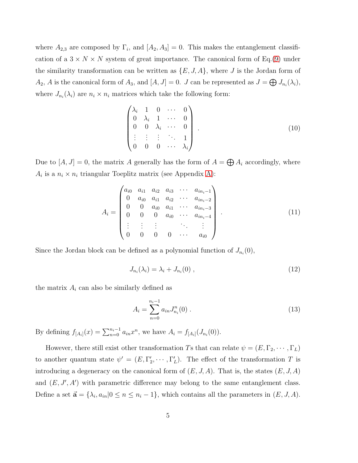where  $A_{2,3}$  are composed by  $\Gamma_i$ , and  $[A_2, A_3] = 0$ . This makes the entanglement classification of a  $3 \times N \times N$  system of great importance. The canonical form of Eq.[\(9\)](#page-3-2) under the similarity transformation can be written as  $\{E, J, A\}$ , where J is the Jordan form of  $A_2$ , A is the canonical form of  $A_3$ , and  $[A, J] = 0$ . J can be represented as  $J = \bigoplus J_{n_i}(\lambda_i)$ , where  $J_{n_i}(\lambda_i)$  are  $n_i \times n_i$  matrices which take the following form:

$$
\begin{pmatrix}\n\lambda_i & 1 & 0 & \cdots & 0 \\
0 & \lambda_i & 1 & \cdots & 0 \\
0 & 0 & \lambda_i & \cdots & 0 \\
\vdots & \vdots & \vdots & \ddots & 1 \\
0 & 0 & 0 & \cdots & \lambda_i\n\end{pmatrix} .
$$
\n(10)

Due to  $[A, J] = 0$ , the matrix A generally has the form of  $A = \bigoplus A_i$  accordingly, where  $A_i$  is a  $n_i \times n_i$  triangular Toeplitz matrix (see Appendix [A\)](#page-19-0):

<span id="page-4-1"></span>
$$
A_{i} = \begin{pmatrix} a_{i0} & a_{i1} & a_{i2} & a_{i3} & \cdots & a_{in_{i}-1} \\ 0 & a_{i0} & a_{i1} & a_{i2} & \cdots & a_{in_{i}-2} \\ 0 & 0 & a_{i0} & a_{i1} & \cdots & a_{in_{i}-3} \\ 0 & 0 & 0 & a_{i0} & \cdots & a_{in_{i}-4} \\ \vdots & \vdots & \vdots & \ddots & \vdots \\ 0 & 0 & 0 & 0 & \cdots & a_{i0} \end{pmatrix} .
$$
 (11)

Since the Jordan block can be defined as a polynomial function of  $J_{n_i}(0)$ ,

<span id="page-4-0"></span>
$$
J_{n_i}(\lambda_i) = \lambda_i + J_{n_i}(0) , \qquad (12)
$$

the matrix  $A_i$  can also be similarly defined as

$$
A_i = \sum_{n=0}^{n_i - 1} a_{in} J_{n_i}^n(0) \tag{13}
$$

By defining  $f_{[A_i]}(x) = \sum_{n=0}^{n_i-1} a_{in} x^n$ , we have  $A_i = f_{[A_i]}(J_{n_i}(0))$ .

However, there still exist other transformation Ts that can relate  $\psi = (E, \Gamma_2, \cdots, \Gamma_L)$ to another quantum state  $\psi' = (E, \Gamma'_2)$  $'_{2},\cdots,\Gamma'_{j}$  $L$ ). The effect of the transformation T is introducing a degeneracy on the canonical form of  $(E, J, A)$ . That is, the states  $(E, J, A)$ and  $(E, J', A')$  with parametric difference may belong to the same entanglement class. Define a set  $\vec{\mathbf{a}} = {\lambda_i, a_{in}} \ge n \le n_i - 1$ , which contains all the parameters in  $(E, J, A)$ .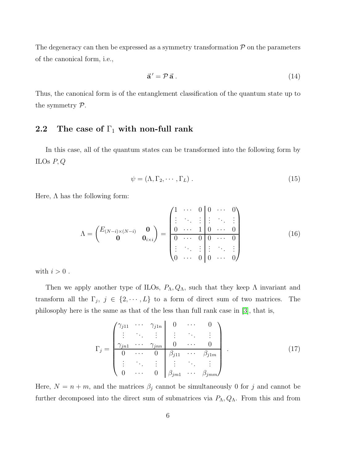The degeneracy can then be expressed as a symmetry transformation  $P$  on the parameters of the canonical form, i.e.,

$$
\vec{\mathbf{a}}' = \mathcal{P}\,\vec{\mathbf{a}}\,. \tag{14}
$$

Thus, the canonical form is of the entanglement classification of the quantum state up to the symmetry P.

### 2.2 The case of  $\Gamma_1$  with non-full rank

In this case, all of the quantum states can be transformed into the following form by ILOs  $P, Q$ 

$$
\psi = (\Lambda, \Gamma_2, \cdots, \Gamma_L). \tag{15}
$$

Here,  $\Lambda$  has the following form:

$$
\Lambda = \begin{pmatrix} E_{(N-i)\times(N-i)} & \mathbf{0} \\ \mathbf{0} & \mathbf{0}_{i\times i} \end{pmatrix} = \begin{pmatrix} 1 & \cdots & 0 & 0 & \cdots & 0 \\ \vdots & \ddots & \vdots & \vdots & \ddots & \vdots \\ 0 & \cdots & 1 & 0 & \cdots & 0 \\ \hline 0 & \cdots & 0 & 0 & \cdots & 0 \\ \vdots & \ddots & \vdots & \vdots & \ddots & \vdots \\ 0 & \cdots & 0 & 0 & \cdots & 0 \end{pmatrix}
$$
(16)

with  $i>0$  .

Then we apply another type of ILOs,  $P_{\Lambda}$ ,  $Q_{\Lambda}$ , such that they keep  $\Lambda$  invariant and transform all the  $\Gamma_j$ ,  $j \in \{2, \dots, L\}$  to a form of direct sum of two matrices. The philosophy here is the same as that of the less than full rank case in [\[3\]](#page-20-2), that is,

<span id="page-5-0"></span>
$$
\Gamma_j = \begin{pmatrix}\n\gamma_{j11} & \cdots & \gamma_{j1n} & 0 & \cdots & 0 \\
\vdots & \ddots & \vdots & \vdots & \ddots & \vdots \\
\gamma_{jn1} & \cdots & \gamma_{jnn} & 0 & \cdots & 0 \\
0 & \cdots & 0 & \beta_{j11} & \cdots & \beta_{j1m} \\
\vdots & \ddots & \vdots & \vdots & \ddots & \vdots \\
0 & \cdots & 0 & \beta_{jm1} & \cdots & \beta_{jmm}\n\end{pmatrix} .
$$
\n(17)

Here,  $N = n + m$ , and the matrices  $\beta_j$  cannot be simultaneously 0 for j and cannot be further decomposed into the direct sum of submatrices via  $P_{\Lambda}$ ,  $Q_{\Lambda}$ . From this and from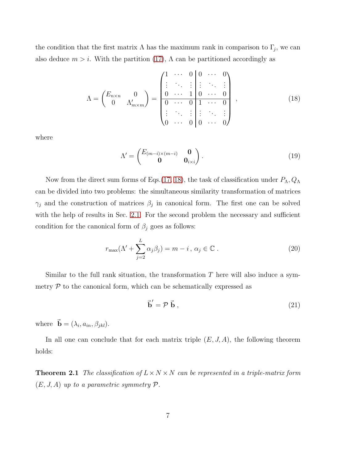the condition that the first matrix  $\Lambda$  has the maximum rank in comparison to  $\Gamma_j$ , we can also deduce  $m > i$ . With the partition [\(17\)](#page-5-0),  $\Lambda$  can be partitioned accordingly as

<span id="page-6-0"></span>
$$
\Lambda = \begin{pmatrix} E_{n \times n} & 0 \\ 0 & \Lambda'_{m \times m} \end{pmatrix} = \begin{pmatrix} 1 & \cdots & 0 & 0 & \cdots & 0 \\ \vdots & \ddots & \vdots & \vdots & \ddots & \vdots \\ 0 & \cdots & 1 & 0 & \cdots & 0 \\ \hline 0 & \cdots & 0 & 1 & \cdots & 0 \\ \vdots & \ddots & \vdots & \vdots & \ddots & \vdots \\ 0 & \cdots & 0 & 0 & \cdots & 0 \end{pmatrix},
$$
(18)

where

$$
\Lambda' = \begin{pmatrix} E_{(m-i)\times(m-i)} & \mathbf{0} \\ \mathbf{0} & \mathbf{0}_{i\times i} \end{pmatrix} . \tag{19}
$$

Now from the direct sum forms of Eqs.[\(17,](#page-5-0) [18\)](#page-6-0), the task of classification under  $P_{\Lambda}$ ,  $Q_{\Lambda}$ can be divided into two problems: the simultaneous similarity transformation of matrices  $\gamma_j$  and the construction of matrices  $\beta_j$  in canonical form. The first one can be solved with the help of results in Sec. [2.1.](#page-3-3) For the second problem the necessary and sufficient condition for the canonical form of  $\beta_j$  goes as follows:

$$
r_{\max}(\Lambda' + \sum_{j=2}^{L} \alpha_j \beta_j) = m - i, \ \alpha_j \in \mathbb{C} \ . \tag{20}
$$

Similar to the full rank situation, the transformation  $T$  here will also induce a symmetry  $P$  to the canonical form, which can be schematically expressed as

$$
\vec{\mathbf{b}}' = \mathcal{P} \ \vec{\mathbf{b}} \ , \tag{21}
$$

where  $\vec{\mathbf{b}} = (\lambda_i, a_{in}, \beta_{jkl}).$ 

In all one can conclude that for each matrix triple  $(E, J, A)$ , the following theorem holds:

**Theorem 2.1** The classification of  $L \times N \times N$  can be represented in a triple-matrix form  $(E, J, A)$  up to a parametric symmetry  $\mathcal{P}.$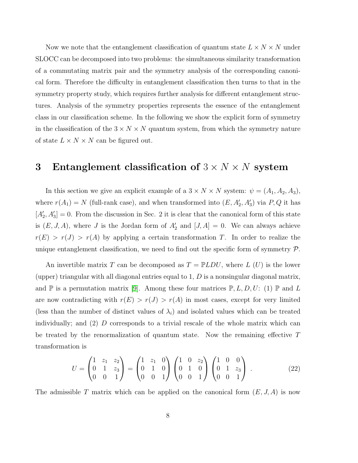Now we note that the entanglement classification of quantum state  $L \times N \times N$  under SLOCC can be decomposed into two problems: the simultaneous similarity transformation of a commutating matrix pair and the symmetry analysis of the corresponding canonical form. Therefore the difficulty in entanglement classification then turns to that in the symmetry property study, which requires further analysis for different entanglement structures. Analysis of the symmetry properties represents the essence of the entanglement class in our classification scheme. In the following we show the explicit form of symmetry in the classification of the  $3 \times N \times N$  quantum system, from which the symmetry nature of state  $L \times N \times N$  can be figured out.

### <span id="page-7-0"></span>3 Entanglement classification of  $3 \times N \times N$  system

In this section we give an explicit example of a  $3 \times N \times N$  system:  $\psi = (A_1, A_2, A_3)$ , where  $r(A_1) = N$  (full-rank case), and when transformed into  $(E, A'_2, A'_3)$  via  $P, Q$  it has  $[A'_2, A'_3] = 0$ . From the discussion in Sec. 2 it is clear that the canonical form of this state is  $(E, J, A)$ , where J is the Jordan form of  $A'_2$  and  $[J, A] = 0$ . We can always achieve  $r(E) > r(J) > r(A)$  by applying a certain transformation T. In order to realize the unique entanglement classification, we need to find out the specific form of symmetry  $\mathcal{P}$ .

An invertible matrix T can be decomposed as  $T = \mathbb{P}LDU$ , where L (U) is the lower (upper) triangular with all diagonal entries equal to  $1, D$  is a nonsingular diagonal matrix, and  $\mathbb P$  is a permutation matrix [\[9\]](#page-20-8). Among these four matrices  $\mathbb P, L, D, U: (1) \mathbb P$  and L are now contradicting with  $r(E) > r(J) > r(A)$  in most cases, except for very limited (less than the number of distinct values of  $\lambda_i$ ) and isolated values which can be treated individually; and (2) D corresponds to a trivial rescale of the whole matrix which can be treated by the renormalization of quantum state. Now the remaining effective T transformation is

<span id="page-7-1"></span>
$$
U = \begin{pmatrix} 1 & z_1 & z_2 \\ 0 & 1 & z_3 \\ 0 & 0 & 1 \end{pmatrix} = \begin{pmatrix} 1 & z_1 & 0 \\ 0 & 1 & 0 \\ 0 & 0 & 1 \end{pmatrix} \begin{pmatrix} 1 & 0 & z_2 \\ 0 & 1 & 0 \\ 0 & 0 & 1 \end{pmatrix} \begin{pmatrix} 1 & 0 & 0 \\ 0 & 1 & z_3 \\ 0 & 0 & 1 \end{pmatrix} . \tag{22}
$$

The admissible T matrix which can be applied on the canonical form  $(E, J, A)$  is now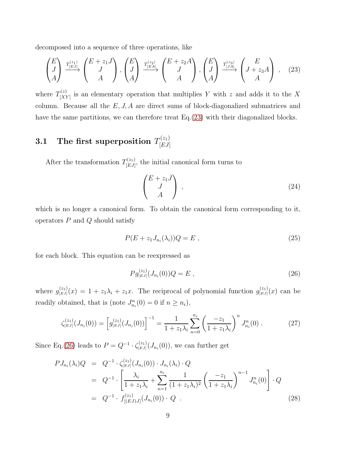decomposed into a sequence of three operations, like

<span id="page-8-0"></span>
$$
\begin{pmatrix} E \\ J \\ A \end{pmatrix} \xrightarrow{T_{[EJ]}} \begin{pmatrix} E+z_1J \\ J \\ A \end{pmatrix}, \begin{pmatrix} E \\ J \\ A \end{pmatrix} \xrightarrow{T_{[EA]}} \begin{pmatrix} E+z_2A \\ J \\ A \end{pmatrix}, \begin{pmatrix} E \\ J \\ A \end{pmatrix} \xrightarrow{T_{[JA]}} \begin{pmatrix} E \\ J+z_3A \\ A \end{pmatrix}, \quad (23)
$$

where  $T^{(z)}_{[XY]}$  $\chi^{(z)}_{[XY]}$  is an elementary operation that multiplies Y with z and adds it to the X column. Because all the  $E$ ,  $J$ ,  $A$  are direct sums of block-diagonalized submatrices and have the same partitions, we can therefore treat Eq.[\(23\)](#page-8-0) with their diagonalized blocks.

#### <span id="page-8-3"></span>3.1 The first superposition  $T^{(z_1)}_{E,D}$ [EJ]

After the transformation  $T_{[E,I]}^{(z_1)}$  $E^{(21)}_{[EJ]}$ , the initial canonical form turns to

$$
\begin{pmatrix} E + z_1 J \\ J \\ A \end{pmatrix} , \tag{24}
$$

which is no longer a canonical form. To obtain the canonical form corresponding to it, operators  $P$  and  $Q$  should satisfy

$$
P(E + z_1 J_{n_i}(\lambda_i))Q = E , \qquad (25)
$$

for each block. This equation can be reexpressed as

<span id="page-8-1"></span>
$$
Pg_{[EJ]}^{(z_1)}(J_{n_i}(0))Q = E , \qquad (26)
$$

where  $g_{[EJ]}^{(z_1)}(x) = 1 + z_1 \lambda_i + z_1 x$ . The reciprocal of polynomial function  $g_{[EJ]}^{(z_1)}(x)$  can be readily obtained, that is (note  $J_{n_i}^n(0) = 0$  if  $n \geq n_i$ ),

$$
\zeta_{[EJ]}^{(z_1)}(J_{n_i}(0)) = \left[g_{[EJ]}^{(z_1)}(J_{n_i}(0))\right]^{-1} = \frac{1}{1+z_1\lambda_i} \sum_{n=0}^{n_i} \left(\frac{-z_1}{1+z_1\lambda_i}\right)^n J_{n_i}^n(0) \ . \tag{27}
$$

Since Eq.[\(26\)](#page-8-1) leads to  $P = Q^{-1} \cdot \zeta_{[EJ]}^{(z_1)}(J_{n_i}(0))$ , we can further get

<span id="page-8-2"></span>
$$
P J_{n_i}(\lambda_i) Q = Q^{-1} \cdot \zeta_{[EJ]}^{(z_1)}(J_{n_i}(0)) \cdot J_{n_i}(\lambda_i) \cdot Q
$$
  
\n
$$
= Q^{-1} \cdot \left[ \frac{\lambda_i}{1 + z_1 \lambda_i} + \sum_{n=1}^{n_i} \frac{1}{(1 + z_1 \lambda_i)^2} \left( \frac{-z_1}{1 + z_1 \lambda_i} \right)^{n-1} J_{n_i}^n(0) \right] \cdot Q
$$
  
\n
$$
= Q^{-1} \cdot f_{[(EJ)J]}^{(z_1)}(J_{n_i}(0)) \cdot Q .
$$
\n(28)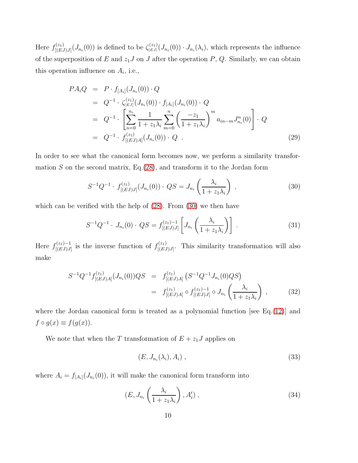Here  $f^{(z_1)}_{\mathfrak{l}(E,j)}$  $\zeta^{(z_1)}_{[(EJ)J]}(J_{n_i}(0))$  is defined to be  $\zeta^{(z_1)}_{[EJ]}(J_{n_i}(0)) \cdot J_{n_i}(\lambda_i)$ , which represents the influence of the superposition of E and  $z_1J$  on J after the operation P, Q. Similarly, we can obtain this operation influence on  $A_i$ , i.e.,

$$
PA_iQ = P \cdot f_{[A_i]}(J_{n_i}(0)) \cdot Q
$$
  
\n
$$
= Q^{-1} \cdot \zeta_{[EJ]}^{(z_1)}(J_{n_i}(0)) \cdot f_{[A_i]}(J_{n_i}(0)) \cdot Q
$$
  
\n
$$
= Q^{-1} \cdot \left[ \sum_{n=0}^{n_i} \frac{1}{1 + z_1 \lambda_i} \sum_{m=0}^n \left( \frac{-z_1}{1 + z_1 \lambda_i} \right)^m a_{in-m} J_{n_i}^n(0) \right] \cdot Q
$$
  
\n
$$
= Q^{-1} \cdot f_{[(EJ)A]}^{(z_1)}(J_{n_i}(0)) \cdot Q .
$$
\n(29)

In order to see what the canonical form becomes now, we perform a similarity transformation  $S$  on the second matrix, Eq.[\(28\)](#page-8-2), and transform it to the Jordan form

<span id="page-9-0"></span>
$$
S^{-1}Q^{-1} \cdot f_{[(EJ)J]}^{(z_1)}(J_{n_i}(0)) \cdot QS = J_{n_i}\left(\frac{\lambda_i}{1+z_1\lambda_i}\right) \,,\tag{30}
$$

which can be verified with the help of [\(28\)](#page-8-2). From [\(30\)](#page-9-0) we then have

$$
S^{-1}Q^{-1} \cdot J_{n_i}(0) \cdot QS = f_{[(EJ)J]}^{(z_1)-1} \left[ J_{n_i} \left( \frac{\lambda_i}{1+z_1 \lambda_i} \right) \right] . \tag{31}
$$

Here  $f_{[(E,I),I]}^{(z_1)-1}$  $f^{(z_1)-1}_{[(EJ)J]}$  is the inverse function of  $f^{(z_1)}_{[(EJ)J]}$  $\lim_{[(EJ)J]}$ . This similarity transformation will also make

$$
S^{-1}Q^{-1}f_{[(EJ)A]}^{(z_1)}(J_{n_i}(0))QS = f_{[(EJ)A]}^{(z_1)}(S^{-1}Q^{-1}J_{n_i}(0)QS)
$$
  
=  $f_{[(EJ)A]}^{(z_1)} \circ f_{[(EJ)J]}^{(z_1)-1} \circ J_{n_i}\left(\frac{\lambda_i}{1+z_1\lambda_i}\right)$ , (32)

where the Jordan canonical form is treated as a polynomial function [see Eq.[\(12\)](#page-4-0)] and  $f \circ g(x) \equiv f(g(x)).$ 

We note that when the T transformation of  $E + z_1J$  applies on

<span id="page-9-1"></span>
$$
(E, J_{n_i}(\lambda_i), A_i) \tag{33}
$$

where  $A_i = f_{[A_i]}(J_{n_i}(0))$ , it will make the canonical form transform into

<span id="page-9-2"></span>
$$
(E, J_{n_i}\left(\frac{\lambda_i}{1+z_1\lambda_i}\right), A'_i) , \qquad (34)
$$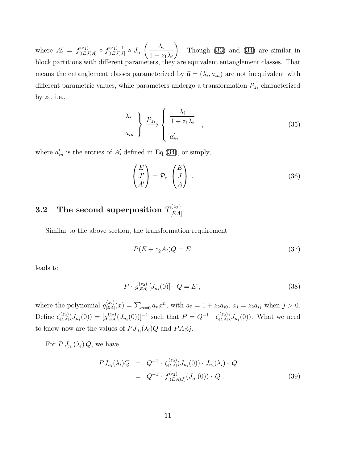where  $A'_i = f_{[(E_i)}^{(z_1)}$  $f^{(z_1)}_{[(EJ)A]}$  ○  $f^{(z_1)-1}_{[(EJ)J]}$  $\frac{1}{[(EJ)J]} \circ J_{n_i}$  $\left( \quad \right)$  $1 + z_1 \lambda_i$  $\setminus$ . Though [\(33\)](#page-9-1) and [\(34\)](#page-9-2) are similar in block partitions with different parameters, they are equivalent entanglement classes. That means the entanglement classes parameterized by  $\vec{\mathbf{a}} = (\lambda_i, a_{in})$  are not inequivalent with different parametric values, while parameters undergo a transformation  $\mathcal{P}_{z_1}$  characterized by  $z_1$ , i.e.,

<span id="page-10-0"></span>
$$
\begin{aligned}\n\lambda_i \\
a_{in}\n\end{aligned}\n\bigg\} \xrightarrow{\mathcal{P}_{z_1}} \n\begin{cases}\n\frac{\lambda_i}{1 + z_1 \lambda_i} \\
a'_{in}\n\end{cases},
$$
\n(35)

where  $a'_{in}$  is the entries of  $A'_{i}$  defined in Eq.[\(34\)](#page-9-2), or simply,

$$
\begin{pmatrix} E \\ J' \\ A' \end{pmatrix} = \mathcal{P}_{z_1} \begin{pmatrix} E \\ J \\ A \end{pmatrix} . \tag{36}
$$

#### <span id="page-10-1"></span>3.2 The second superposition  $T^{(z_2)}_{E A}$  $[EA]% \centering \subfloat[\centering]{{\includegraphics[scale=0.2]{img10.png} }}% \qquad \subfloat[\centering]{{\includegraphics[scale=0.2]{img11.png} }}% \caption{(Adaptive image) Set size produced in our classification example (panel left). } \label{fig:2}$

Similar to the above section, the transformation requirement

$$
P(E + z_2 A_i)Q = E \tag{37}
$$

leads to

$$
P \cdot g_{[E A]}^{(z_2)} [J_{n_i}(0)] \cdot Q = E , \qquad (38)
$$

where the polynomial  $g_{[EA]}^{(z_2)}(x) = \sum_{n=0} a_n x^n$ , with  $a_0 = 1 + z_2 a_{i0}$ ,  $a_j = z_2 a_{ij}$  when  $j > 0$ . Define  $\zeta_{[EA]}^{(z_2)}(J_{n_i}(0)) = [g_{[EA]}^{(z_2)}(J_{n_i}(0))]^{-1}$  such that  $P = Q^{-1} \cdot \zeta_{[EA]}^{(z_2)}(J_{n_i}(0))$ . What we need to know now are the values of  $P J_{n_i}(\lambda_i) Q$  and  $P A_i Q$ .

For  $P J_{n_i}(\lambda_i) Q$ , we have

$$
P J_{n_i}(\lambda_i) Q = Q^{-1} \cdot \zeta_{[EA]}^{(z_2)}(J_{n_i}(0)) \cdot J_{n_i}(\lambda_i) \cdot Q
$$
  
=  $Q^{-1} \cdot f_{[(EA)J]}^{(z_2)}(J_{n_i}(0)) \cdot Q$ . (39)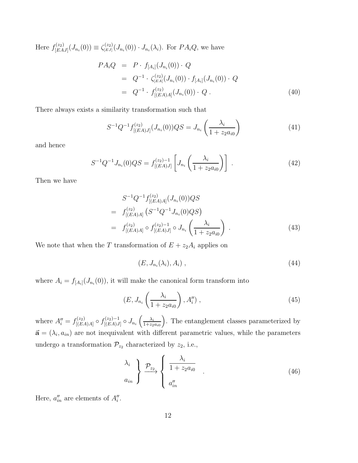Here  $f^{(z_2)}_{\text{IEA}}$  $\zeta_{[EAJ]}^{(z_2)}(J_{n_i}(0)) \equiv \zeta_{[EJ]}^{(z_2)}(J_{n_i}(0)) \cdot J_{n_i}(\lambda_i)$ . For  $PA_iQ$ , we have

$$
PA_iQ = P \cdot f_{[A_i]}(J_{n_i}(0)) \cdot Q
$$
  
=  $Q^{-1} \cdot \zeta_{[EA]}^{(z_2)}(J_{n_i}(0)) \cdot f_{[A_i]}(J_{n_i}(0)) \cdot Q$   
=  $Q^{-1} \cdot f_{[(EA)A]}^{(z_2)}(J_{n_i}(0)) \cdot Q$ . (40)

There always exists a similarity transformation such that

$$
S^{-1}Q^{-1}f_{[(EA)J]}^{(z_2)}(J_{n_i}(0))QS = J_{n_i}\left(\frac{\lambda_i}{1 + z_2 a_{i0}}\right)
$$
(41)

and hence

$$
S^{-1}Q^{-1}J_{n_i}(0)QS = f_{[(EA)J]}^{(z_2)-1} \left[ J_{n_i}\left(\frac{\lambda_i}{1+z_2 a_{i0}}\right) \right] . \tag{42}
$$

Then we have

$$
S^{-1}Q^{-1}f_{[(EA)A]}^{(z_2)}(J_{n_i}(0))QS
$$
  
=  $f_{[(EA)A]}^{(z_2)}(S^{-1}Q^{-1}J_{n_i}(0)QS)$   
=  $f_{[(EA)A]}^{(z_2)} \circ f_{[(EA)J]}^{(z_2)-1} \circ J_{n_i}\left(\frac{\lambda_i}{1+z_2a_{i0}}\right)$ . (43)

We note that when the T transformation of  $E + z_2 A_i$  applies on

$$
(E, J_{n_i}(\lambda_i), A_i) \t{,} \t(44)
$$

where  $A_i = f_{A_i}(J_{n_i}(0))$ , it will make the canonical form transform into

$$
(E, J_{n_i}\left(\frac{\lambda_i}{1+z_2 a_{i0}}\right), A''_i)\,,\tag{45}
$$

where  $A''_i = f_{|(E)}^{(z_2)}$  $f(z_2)$ <br>[(EA)A] ○  $f(z_2) - 1$ <br>[(EA)J  $J_{n_i}$   $(z_2)-1$  o  $J_{n_i}$   $\left(\frac{\lambda_i}{1+z_2}\right)$  $1+z_2a_{i0}$  . The entanglement classes parameterized by  $\vec{a} = (\lambda_i, a_{in})$  are not inequivalent with different parametric values, while the parameters undergo a transformation  $\mathcal{P}_{z_2}$  characterized by  $z_2$ , i.e.,

$$
\begin{aligned}\n\lambda_i \\
a_{in}\n\end{aligned}\n\bigg\} \xrightarrow{\mathcal{P}_{z_2}} \n\begin{cases}\n\frac{\lambda_i}{1 + z_2 a_{i0}} \\
a''_{in}\n\end{cases} \tag{46}
$$

Here,  $a''_{in}$  are elements of  $A''_i$ .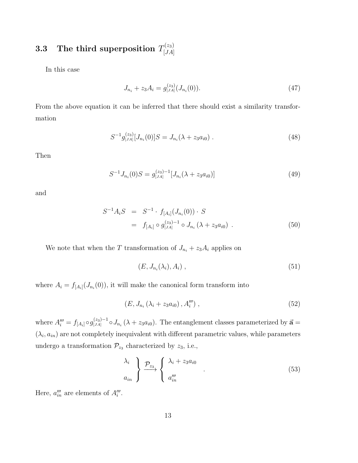#### <span id="page-12-0"></span>**3.3** The third superposition  $T_{\text{[14]}}^{(z_3)}$  $[JA]$

In this case

$$
J_{n_i} + z_3 A_i = g_{[JA]}^{(z_3)}(J_{n_i}(0)).
$$
\n(47)

From the above equation it can be inferred that there should exist a similarity transformation

$$
S^{-1}g_{[JA]}^{(z_3)}[J_{n_i}(0)]S = J_{n_i}(\lambda + z_3 a_{i0}).
$$
\n(48)

Then

$$
S^{-1}J_{n_i}(0)S = g_{[JA]}^{(z_3)-1}[J_{n_i}(\lambda + z_3 a_{i0})]
$$
\n(49)

and

$$
S^{-1}A_iS = S^{-1} \cdot f_{[A_i]}(J_{n_i}(0)) \cdot S
$$
  
=  $f_{[A_i]} \circ g_{[JA]}^{(z_3)-1} \circ J_{n_i}(\lambda + z_3 a_{i0})$ . (50)

We note that when the T transformation of  $J_{n_i} + z_3 A_i$  applies on

$$
(E, J_{n_i}(\lambda_i), A_i) \tag{51}
$$

where  $A_i = f_{A_i}(J_{n_i}(0))$ , it will make the canonical form transform into

$$
(E, J_{n_i}(\lambda_i + z_3 a_{i0}), A'''_i), \qquad (52)
$$

where  $A''_i = f_{[A_i]} \circ g_{[JA]}^{(z_3)-1} \circ J_{n_i} (\lambda + z_3 a_{i0}).$  The entanglement classes parameterized by  $\vec{\mathbf{a}} =$  $(\lambda_i, a_{in})$  are not completely inequivalent with different parametric values, while parameters undergo a transformation  $\mathcal{P}_{z_3}$  characterized by  $z_3$ , i.e.,

$$
\begin{aligned}\n\lambda_i \\
a_{in}\n\end{aligned}\n\bigg\} \xrightarrow{\mathcal{P}_{z_3}} \n\begin{cases}\n\lambda_i + z_3 a_{i0} \\
a_{in}^{\prime\prime\prime}\n\end{cases}.\n\tag{53}
$$

Here,  $a_{in}'''$  are elements of  $A_i'''$ .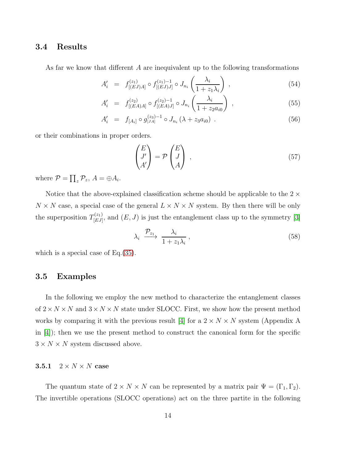### 3.4 Results

As far we know that different A are inequivalent up to the following transformations

$$
A'_{i} = f_{[(EJ)A]}^{(z_{1})} \circ f_{[(EJ)J]}^{(z_{1})-1} \circ J_{n_{i}}\left(\frac{\lambda_{i}}{1+z_{1}\lambda_{i}}\right), \qquad (54)
$$

$$
A'_{i} = f_{[(EA)A]}^{(z_{2})} \circ f_{[(EA)J]}^{(z_{2})-1} \circ J_{n_{i}}\left(\frac{\lambda_{i}}{1+z_{2}a_{i0}}\right) , \qquad (55)
$$

$$
A'_{i} = f_{[A_{i}]} \circ g_{[JA]}^{(z_{3})-1} \circ J_{n_{i}} \left(\lambda + z_{3} a_{i0}\right) . \tag{56}
$$

or their combinations in proper orders.

$$
\begin{pmatrix} E \\ J' \\ A' \end{pmatrix} = \mathcal{P} \begin{pmatrix} E \\ J \\ A \end{pmatrix} , \qquad (57)
$$

where  $\mathcal{P} = \prod_z \mathcal{P}_z$ ,  $A = \bigoplus A_i$ .

Notice that the above-explained classification scheme should be applicable to the  $2 \times$  $N \times N$  case, a special case of the general  $L \times N \times N$  system. By then there will be only the superposition  $T_{[E,I]}^{(z_1)}$  $(E, J)$  is just the entanglement class up to the symmetry [\[3\]](#page-20-2)

$$
\lambda_i \xrightarrow{\mathcal{P}_{z_1}} \frac{\lambda_i}{1 + z_1 \lambda_i}, \tag{58}
$$

which is a special case of Eq.[\(35\)](#page-10-0).

### 3.5 Examples

In the following we employ the new method to characterize the entanglement classes of  $2 \times N \times N$  and  $3 \times N \times N$  state under SLOCC. First, we show how the present method works by comparing it with the previous result [\[4\]](#page-20-3) for a  $2 \times N \times N$  system (Appendix A in [\[4\]](#page-20-3)); then we use the present method to construct the canonical form for the specific  $3 \times N \times N$  system discussed above.

### 3.5.1  $2 \times N \times N$  case

The quantum state of  $2 \times N \times N$  can be represented by a matrix pair  $\Psi = (\Gamma_1, \Gamma_2)$ . The invertible operations (SLOCC operations) act on the three partite in the following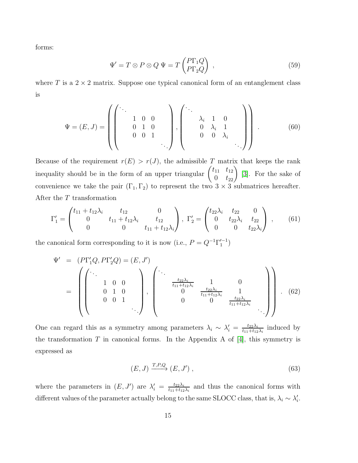forms:

$$
\Psi' = T \otimes P \otimes Q \Psi = T \begin{pmatrix} P\Gamma_1 Q \\ P\Gamma_2 Q \end{pmatrix} , \qquad (59)
$$

where  $T$  is a  $2 \times 2$  matrix. Suppose one typical canonical form of an entanglement class is

$$
\Psi = (E, J) = \left( \begin{pmatrix} \cdot & & & \\ & 1 & 0 & 0 & \\ & 0 & 1 & 0 & \\ & 0 & 0 & 1 & \\ & & & & \cdot \end{pmatrix}, \begin{pmatrix} \cdot & & & \\ & \lambda_i & 1 & 0 & \\ & 0 & \lambda_i & 1 & \\ & & 0 & 0 & \lambda_i & \\ & & & & \cdot \end{pmatrix} \right). \tag{60}
$$

Because of the requirement  $r(E) > r(J)$ , the admissible T matrix that keeps the rank inequality should be in the form of an upper triangular  $\begin{pmatrix} t_{11} & t_{12} \\ 0 & t_{22} \end{pmatrix}$  [\[3\]](#page-20-2). For the sake of convenience we take the pair  $(\Gamma_1, \Gamma_2)$  to represent the two  $3 \times 3$  submatrices hereafter. After the T transformation

$$
\Gamma_1' = \begin{pmatrix} t_{11} + t_{12}\lambda_i & t_{12} & 0\\ 0 & t_{11} + t_{12}\lambda_i & t_{12} \\ 0 & 0 & t_{11} + t_{12}\lambda_i \end{pmatrix}, \ \Gamma_2' = \begin{pmatrix} t_{22}\lambda_i & t_{22} & 0\\ 0 & t_{22}\lambda_i & t_{22} \\ 0 & 0 & t_{22}\lambda_i \end{pmatrix}, \qquad (61)
$$

the canonical form corresponding to it is now (i.e.,  $P = Q^{-1} \Gamma_1'^{-1}$ )

<span id="page-14-0"></span>Ψ ′ = (PΓ ′ <sup>1</sup>Q, PΓ ′ 2Q) = (E, J′ ) = . . . 1 0 0 0 1 0 0 0 1 . . . , . . . t22λ<sup>i</sup> t11+t12λ<sup>i</sup> 1 0 0 t22λ<sup>i</sup> t11+t12λ<sup>i</sup> 1 0 0 <sup>t</sup>22λ<sup>i</sup> t11+t12λ<sup>i</sup> . . . . (62)

One can regard this as a symmetry among parameters  $\lambda_i \sim \lambda'_i = \frac{t_{22}\lambda_i}{t_{11}+t_{12}}$  $\frac{t_{22}\lambda_i}{t_{11}+t_{12}\lambda_i}$  induced by the transformation  $T$  in canonical forms. In the Appendix A of [\[4\]](#page-20-3), this symmetry is expressed as

<span id="page-14-1"></span>
$$
(E, J) \xrightarrow{T, P, Q} (E, J'), \qquad (63)
$$

where the parameters in  $(E, J')$  are  $\lambda'_i = \frac{t_{22}\lambda_i}{t_{11} + t_{12}}$  $\frac{t_{22}\lambda_i}{t_{11}+t_{12}\lambda_i}$  and thus the canonical forms with different values of the parameter actually belong to the same SLOCC class, that is,  $\lambda_i \sim \lambda'_i$ i .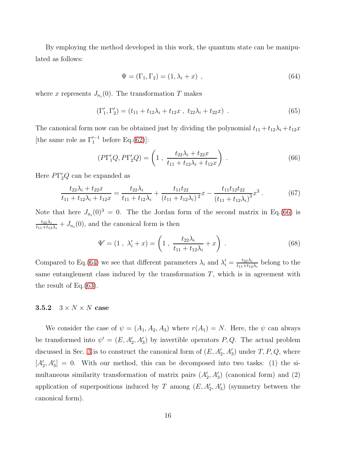By employing the method developed in this work, the quantum state can be manipulated as follows:

<span id="page-15-1"></span>
$$
\Psi = (\Gamma_1, \Gamma_2) = (1, \lambda_i + x) , \qquad (64)
$$

where x represents  $J_{n_i}(0)$ . The transformation T makes

$$
(\Gamma'_1, \Gamma'_2) = (t_{11} + t_{12}\lambda_i + t_{12}x , t_{22}\lambda_i + t_{22}x) .
$$
 (65)

The canonical form now can be obtained just by dividing the polynomial  $t_{11} + t_{12}\lambda_i + t_{12}x$ [the same role as  $\Gamma'^{-1}_1$  before Eq.[\(62\)](#page-14-0)]:

<span id="page-15-0"></span>
$$
(P\Gamma'_1 Q, P\Gamma'_2 Q) = \left(1 \ , \ \frac{t_{22}\lambda_i + t_{22}x}{t_{11} + t_{12}\lambda_i + t_{12}x}\right) \ . \tag{66}
$$

Here  $P\Gamma_2'Q$  can be expanded as

$$
\frac{t_{22}\lambda_i + t_{22}x}{t_{11} + t_{12}\lambda_i + t_{12}x} = \frac{t_{22}\lambda_i}{t_{11} + t_{12}\lambda_i} + \frac{t_{11}t_{22}}{(t_{11} + t_{12}\lambda_i)^2}x - \frac{t_{11}t_{12}t_{22}}{(t_{11} + t_{12}\lambda_i)^3}x^2.
$$
(67)

Note that here  $J_{n_i}(0)^3 = 0$ . The the Jordan form of the second matrix in Eq.[\(66\)](#page-15-0) is  $t_{22}\lambda_i$  $\frac{t_{22}\lambda_i}{t_{11}+t_{12}\lambda_i}+J_{n_i}(0)$ , and the canonical form is then

$$
\Psi' = (1 \, , \, \lambda'_i + x) = \left(1 \, , \, \frac{t_{22}\lambda_i}{t_{11} + t_{12}\lambda_i} + x\right) \, . \tag{68}
$$

Compared to Eq.[\(64\)](#page-15-1) we see that different parameters  $\lambda_i$  and  $\lambda'_i = \frac{t_{22}\lambda_i}{t_{11} + t_{12}}$  $\frac{t_{22}\lambda_i}{t_{11}+t_{12}\lambda_i}$  belong to the same entanglement class induced by the transformation  $T$ , which is in agreement with the result of Eq. $(63)$ .

### 3.5.2  $3 \times N \times N$  case

We consider the case of  $\psi = (A_1, A_2, A_3)$  where  $r(A_1) = N$ . Here, the  $\psi$  can always be transformed into  $\psi' = (E, A'_2, A'_3)$  by invertible operators P, Q. The actual problem discussed in Sec. [3](#page-7-0) is to construct the canonical form of  $(E, A'_2, A'_3)$  under  $T, P, Q$ , where  $[A'_2, A'_3] = 0$ . With our method, this can be decomposed into two tasks: (1) the simultaneous similarity transformation of matrix pairs  $(A'_2, A'_3)$  (canonical form) and  $(2)$ application of superpositions induced by T among  $(E, A'_2, A'_3)$  (symmetry between the canonical form).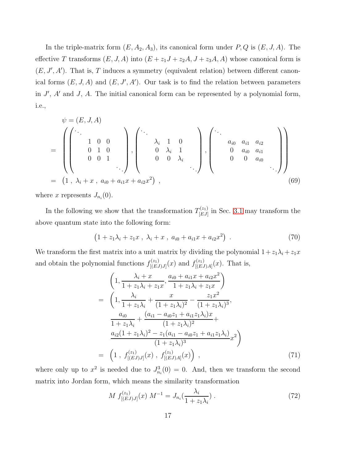In the triple-matrix form  $(E, A_2, A_3)$ , its canonical form under  $P, Q$  is  $(E, J, A)$ . The effective T transforms  $(E, J, A)$  into  $(E + z_1J + z_2A, J + z_3A, A)$  whose canonical form is  $(E, J', A')$ . That is, T induces a symmetry (equivalent relation) between different canonical forms  $(E, J, A)$  and  $(E, J', A')$ . Our task is to find the relation between parameters in  $J'$ ,  $A'$  and  $J$ ,  $A$ . The initial canonical form can be represented by a polynomial form, i.e.,

$$
\psi = (E, J, A)
$$
\n
$$
= \begin{pmatrix}\n\cdot & & & \\
& 1 & 0 & 0 & \\
& & 0 & 1 & 0 \\
& & & 0 & 0 & 1 \\
& & & & \ddots\n\end{pmatrix}, \begin{pmatrix}\n\cdot & & & & \\
& \lambda_i & 1 & 0 & \\
& 0 & \lambda_i & 1 & \\
& & 0 & 0 & \lambda_i \\
& & & 0 & 0 & \lambda_i\n\end{pmatrix}, \begin{pmatrix}\n\cdot & & & & \\
& a_{i0} & a_{i1} & a_{i2} & \\
& 0 & a_{i0} & a_{i1} & \\
& & 0 & 0 & a_{i0} \\
& & & 0 & 0 & a_{i0}\n\end{pmatrix}
$$
\n
$$
= (1, \lambda_i + x, a_{i0} + a_{i1}x + a_{i2}x^2), \qquad (69)
$$

where x represents  $J_{n_i}(0)$ .

In the following we show that the transformation  $T_{[E,I]}^{(z_1)}$  $\left[$ <sup> $\left[ EJ\right]$ </sup> in Sec. [3.1](#page-8-3) may transform the above quantum state into the following form:

$$
(1 + z1\lambdai + z1x , \lambdai + x , ai0 + ai1x + ai2x2) . \t(70)
$$

We transform the first matrix into a unit matrix by dividing the polynomial  $1+z_1\lambda_i + z_1x$ and obtain the polynomial functions  $f_{[<sub>LE</sub>]}^{(z_1)}$  $f^{(z_1)}_{[(EJ)J]}(x)$  and  $f^{(z_1)}_{[(EJ)]}$  $\prod_{[(EJ)A]}^{(z_1)}(x)$ . That is,

$$
\begin{aligned}\n&\left(1, \frac{\lambda_i + x}{1 + z_1 \lambda_i + z_1 x}, \frac{a_{i0} + a_{i1} x + a_{i2} x^2}{1 + z_1 \lambda_i + z_1 x}\right) \\
&= \left(1, \frac{\lambda_i}{1 + z_1 \lambda_i} + \frac{x}{(1 + z_1 \lambda_i)^2} - \frac{z_1 x^2}{(1 + z_1 \lambda_i)^3}, \frac{a_{i0}}{1 + z_1 \lambda_i} + \frac{(a_{i1} - a_{i0} z_1 + a_{i1} z_1 \lambda_i)x}{(1 + z_1 \lambda_i)^2} + \frac{a_{i2} (1 + z_1 \lambda_i)^2 - z_1 (a_{i1} - a_{i0} z_1 + a_{i1} z_1 \lambda_i)}{(1 + z_1 \lambda_i)^3} x^2\right) \\
&= \left(1, f_{[(EJ)J]}^{(z_1)}(x), f_{[(EJ)A]}^{(z_1)}(x)\right),\n\end{aligned} \tag{71}
$$

where only up to  $x^2$  is needed due to  $J_{n_i}^3(0) = 0$ . And, then we transform the second matrix into Jordan form, which means the similarity transformation

$$
M f_{[(EJ)J]}^{(z_1)}(x) M^{-1} = J_{n_i}(\frac{\lambda_i}{1 + z_1 \lambda_i}) \tag{72}
$$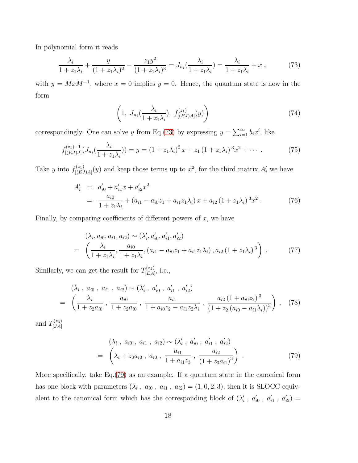In polynomial form it reads

<span id="page-17-0"></span>
$$
\frac{\lambda_i}{1 + z_1 \lambda_i} + \frac{y}{(1 + z_1 \lambda_i)^2} - \frac{z_1 y^2}{(1 + z_1 \lambda_i)^3} = J_{n_i}(\frac{\lambda_i}{1 + z_1 \lambda_i}) = \frac{\lambda_i}{1 + z_1 \lambda_i} + x \,, \tag{73}
$$

with  $y = MxM^{-1}$ , where  $x = 0$  implies  $y = 0$ . Hence, the quantum state is now in the form

$$
\left(1, J_{n_i}\left(\frac{\lambda_i}{1+z_1\lambda_i}\right), f_{[(EJ)A]}^{(z_1)}(y)\right) \tag{74}
$$

correspondingly. One can solve y from Eq.[\(73\)](#page-17-0) by expressing  $y = \sum_{i=1}^{\infty} b_i x^i$ , like

$$
f_{[(EJ)J]}^{(z_1)-1}(J_{n_i}(\frac{\lambda_i}{1+z_1\lambda_i})) = y = (1+z_1\lambda_i)^2 x + z_1 (1+z_1\lambda_i)^3 x^2 + \cdots
$$
 (75)

Take y into  $f_{[(E)]}^{(z_1)}$  $\mathcal{L}^{(z_1)}_{[(EJ)A]}(y)$  and keep those terms up to  $x^2$ , for the third matrix  $A'_i$  we have

$$
A'_{i} = a'_{i0} + a'_{i1}x + a'_{i2}x^{2}
$$
  
= 
$$
\frac{a_{i0}}{1 + z_{1}\lambda_{i}} + (a_{i1} - a_{i0}z_{1} + a_{i1}z_{1}\lambda_{i})x + a_{i2}(1 + z_{1}\lambda_{i})^{3}x^{2}
$$
. (76)

Finally, by comparing coefficients of different powers of  $x$ , we have

$$
(\lambda_i, a_{i0}, a_{i1}, a_{i2}) \sim (\lambda'_i, a'_{i0}, a'_{i1}, a'_{i2})
$$
  
= 
$$
\left(\frac{\lambda_i}{1 + z_1 \lambda_i}, \frac{a_{i0}}{1 + z_1 \lambda_i}, (a_{i1} - a_{i0}z_1 + a_{i1}z_1 \lambda_i), a_{i2} (1 + z_1 \lambda_i)^3\right).
$$
 (77)

Similarly, we can get the result for  $T^{(z_2)}_{E A}$  $^{\mathsf{L}^{(z_2)}}_{[EA]},$  i.e.,

<span id="page-17-2"></span>
$$
(\lambda_i, a_{i0}, a_{i1}, a_{i2}) \sim (\lambda'_i, a'_{i0}, a'_{i1}, a'_{i2})
$$
  
=  $\left(\frac{\lambda_i}{1 + z_2 a_{i0}}, \frac{a_{i0}}{1 + z_2 a_{i0}}, \frac{a_{i1}}{1 + a_{i0} z_2 - a_{i1} z_2 \lambda_i}, \frac{a_{i2} (1 + a_{i0} z_2)^3}{(1 + z_2 (a_{i0} - a_{i1} \lambda_i))^3}\right), (78)$ 

and  $T^{(z_3)}_{\text{LIA}}$  $[JA]$ 

<span id="page-17-1"></span>
$$
(\lambda_i, a_{i0}, a_{i1}, a_{i2}) \sim (\lambda'_i, a'_{i0}, a'_{i1}, a'_{i2})
$$
  
= 
$$
(\lambda_i + z_3 a_{i0}, a_{i0}, \frac{a_{i1}}{1 + a_{i1} z_3}, \frac{a_{i2}}{(1 + z_3 a_{i1})^3})
$$
 (79)

More specifically, take Eq.[\(79\)](#page-17-1) as an example. If a quantum state in the canonical form has one block with parameters  $(\lambda_i, a_{i0}, a_{i1}, a_{i2}) = (1, 0, 2, 3)$ , then it is SLOCC equivalent to the canonical form which has the corresponding block of  $(\lambda_i')$  $a'_{i}$ ,  $a'_{i0}$ ,  $a'_{i1}$ ,  $a'_{i2}$ ) =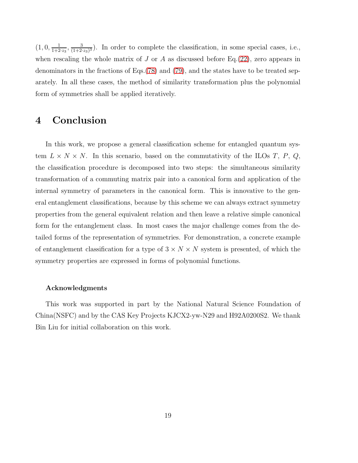$(1,0,\frac{1}{1+2\cdot z_3},\frac{3}{(1+2\cdot z_3)^3})$ . In order to complete the classification, in some special cases, i.e., when rescaling the whole matrix of  $J$  or  $A$  as discussed before Eq.[\(22\)](#page-7-1), zero appears in denominators in the fractions of Eqs.[\(78\)](#page-17-2) and [\(79\)](#page-17-1), and the states have to be treated separately. In all these cases, the method of similarity transformation plus the polynomial form of symmetries shall be applied iteratively.

## 4 Conclusion

In this work, we propose a general classification scheme for entangled quantum system  $L \times N \times N$ . In this scenario, based on the commutativity of the ILOs T, P, Q, the classification procedure is decomposed into two steps: the simultaneous similarity transformation of a commuting matrix pair into a canonical form and application of the internal symmetry of parameters in the canonical form. This is innovative to the general entanglement classifications, because by this scheme we can always extract symmetry properties from the general equivalent relation and then leave a relative simple canonical form for the entanglement class. In most cases the major challenge comes from the detailed forms of the representation of symmetries. For demonstration, a concrete example of entanglement classification for a type of  $3 \times N \times N$  system is presented, of which the symmetry properties are expressed in forms of polynomial functions.

#### Acknowledgments

This work was supported in part by the National Natural Science Foundation of China(NSFC) and by the CAS Key Projects KJCX2-yw-N29 and H92A0200S2. We thank Bin Liu for initial collaboration on this work.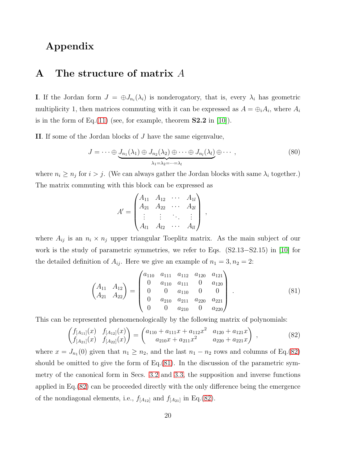## <span id="page-19-0"></span>Appendix

## A The structure of matrix A

**I**. If the Jordan form  $J = \bigoplus J_{n_i}(\lambda_i)$  is nonderogatory, that is, every  $\lambda_i$  has geometric multiplicity 1, then matrices commuting with it can be expressed as  $A = \bigoplus_i A_i$ , where  $A_i$ is in the form of Eq.[\(11\)](#page-4-1) (see, for example, theorem  $S2.2$  in [\[10\]](#page-20-9)).

II. If some of the Jordan blocks of J have the same eigenvalue,

$$
J = \cdots \oplus \underbrace{J_{n_1}(\lambda_1) \oplus J_{n_2}(\lambda_2) \oplus \cdots \oplus J_{n_l}(\lambda_l)}_{\lambda_1 = \lambda_2 = \cdots = \lambda_l} \oplus \cdots , \qquad (80)
$$

where  $n_i \geq n_j$  for  $i > j$ . (We can always gather the Jordan blocks with same  $\lambda_i$  together.) The matrix commuting with this block can be expressed as

$$
A' = \begin{pmatrix} A_{11} & A_{12} & \cdots & A_{1l} \\ A_{21} & A_{22} & \cdots & A_{2l} \\ \vdots & \vdots & \ddots & \vdots \\ A_{l1} & A_{l2} & \cdots & A_{ll} \end{pmatrix},
$$

where  $A_{ij}$  is an  $n_i \times n_j$  upper triangular Toeplitz matrix. As the main subject of our work is the study of parametric symmetries, we refer to Eqs. (S2.13−S2.15) in [\[10\]](#page-20-9) for the detailed definition of  $A_{ij}$ . Here we give an example of  $n_1 = 3, n_2 = 2$ :

<span id="page-19-2"></span>
$$
\begin{pmatrix}\nA_{11} & A_{12} \\
A_{21} & A_{22}\n\end{pmatrix} = \begin{pmatrix}\na_{110} & a_{111} & a_{112} & a_{120} & a_{121} \\
0 & a_{110} & a_{111} & 0 & a_{120} \\
0 & 0 & a_{110} & 0 & 0 \\
0 & a_{210} & a_{211} & a_{220} & a_{221} \\
0 & 0 & a_{210} & 0 & a_{220}\n\end{pmatrix} .
$$
\n(81)

This can be represented phenomenologically by the following matrix of polynomials:

<span id="page-19-1"></span>
$$
\begin{pmatrix} f_{[A_{11}]}(x) & f_{[A_{12}]}(x) \\ f_{[A_{21}]}(x) & f_{[A_{22}]}(x) \end{pmatrix} = \begin{pmatrix} a_{110} + a_{111}x + a_{112}x^2 & a_{120} + a_{121}x \\ a_{210}x + a_{211}x^2 & a_{220} + a_{221}x \end{pmatrix} , \qquad (82)
$$

where  $x = J_{n_1}(0)$  given that  $n_1 \ge n_2$ , and the last  $n_1 - n_2$  rows and columns of Eq.[\(82\)](#page-19-1) should be omitted to give the form of  $Eq.(81)$  $Eq.(81)$ . In the discussion of the parametric symmetry of the canonical form in Secs. [3.2](#page-10-1) and [3.3,](#page-12-0) the supposition and inverse functions applied in Eq.[\(82\)](#page-19-1) can be proceeded directly with the only difference being the emergence of the nondiagonal elements, i.e.,  $f_{A_{12}}$  and  $f_{A_{21}}$  in Eq.[\(82\)](#page-19-1).